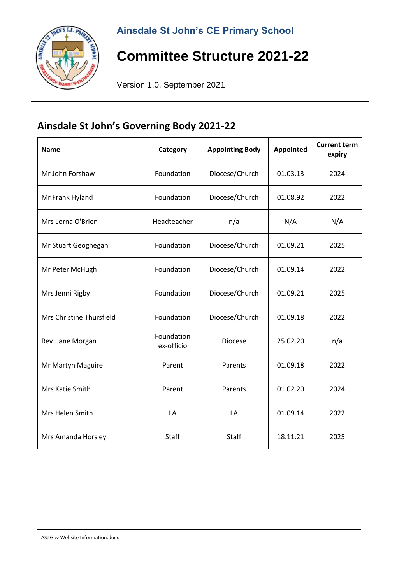

# **Committee Structure 2021-22**

Version 1.0, September 2021

#### **Ainsdale St John's Governing Body 2021-22**

| <b>Name</b>              | Category                 | <b>Appointing Body</b><br><b>Appointed</b> |          | <b>Current term</b><br>expiry |
|--------------------------|--------------------------|--------------------------------------------|----------|-------------------------------|
| Mr John Forshaw          | Foundation               | Diocese/Church<br>01.03.13                 |          | 2024                          |
| Mr Frank Hyland          | Foundation               | Diocese/Church<br>01.08.92                 |          | 2022                          |
| Mrs Lorna O'Brien        | Headteacher              | n/a<br>N/A                                 |          | N/A                           |
| Mr Stuart Geoghegan      | Foundation               | Diocese/Church<br>01.09.21                 |          | 2025                          |
| Mr Peter McHugh          | Foundation               | Diocese/Church<br>01.09.14                 |          | 2022                          |
| Mrs Jenni Rigby          | Foundation               | Diocese/Church                             | 01.09.21 | 2025                          |
| Mrs Christine Thursfield | Foundation               | Diocese/Church<br>01.09.18                 |          | 2022                          |
| Rev. Jane Morgan         | Foundation<br>ex-officio | <b>Diocese</b><br>25.02.20                 |          | n/a                           |
| Mr Martyn Maguire        | Parent                   | Parents<br>01.09.18                        |          | 2022                          |
| Mrs Katie Smith          | Parent                   | Parents<br>01.02.20                        |          | 2024                          |
| Mrs Helen Smith          | LA                       | LA<br>01.09.14                             |          | 2022                          |
| Mrs Amanda Horsley       | Staff                    | <b>Staff</b>                               | 18.11.21 | 2025                          |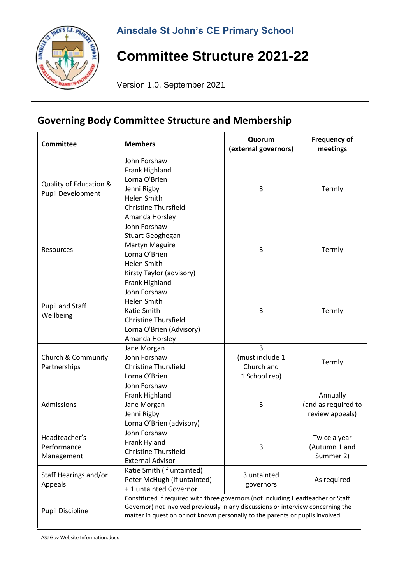### **Ainsdale St John's CE Primary School**



# **Committee Structure 2021-22**

Version 1.0, September 2021

### **Governing Body Committee Structure and Membership**

| <b>Committee</b>                            | <b>Members</b>                                                                                                                                                                                                                                       | Quorum<br>(external governors)                                   | <b>Frequency of</b><br>meetings                    |
|---------------------------------------------|------------------------------------------------------------------------------------------------------------------------------------------------------------------------------------------------------------------------------------------------------|------------------------------------------------------------------|----------------------------------------------------|
| Quality of Education &<br>Pupil Development | John Forshaw<br>Frank Highland<br>Lorna O'Brien<br>Jenni Rigby<br><b>Helen Smith</b><br><b>Christine Thursfield</b><br>Amanda Horsley                                                                                                                | 3                                                                | Termly                                             |
| Resources                                   | John Forshaw<br>Stuart Geoghegan<br><b>Martyn Maguire</b><br>Lorna O'Brien<br>Helen Smith<br>Kirsty Taylor (advisory)                                                                                                                                | 3                                                                | Termly                                             |
| <b>Pupil and Staff</b><br>Wellbeing         | Frank Highland<br>John Forshaw<br><b>Helen Smith</b><br>Katie Smith<br><b>Christine Thursfield</b><br>Lorna O'Brien (Advisory)<br>Amanda Horsley                                                                                                     | 3                                                                | Termly                                             |
| Church & Community<br>Partnerships          | Jane Morgan<br>John Forshaw<br><b>Christine Thursfield</b><br>Lorna O'Brien                                                                                                                                                                          | $\overline{3}$<br>(must include 1<br>Church and<br>1 School rep) | Termly                                             |
| Admissions                                  | John Forshaw<br>Frank Highland<br>Jane Morgan<br>Jenni Rigby<br>Lorna O'Brien (advisory)                                                                                                                                                             | 3                                                                | Annually<br>(and as required to<br>review appeals) |
| Headteacher's<br>Performance<br>Management  | John Forshaw<br>Frank Hyland<br><b>Christine Thursfield</b><br><b>External Advisor</b>                                                                                                                                                               | 3                                                                | Twice a year<br>(Autumn 1 and<br>Summer 2)         |
| Staff Hearings and/or<br>Appeals            | Katie Smith (if untainted)<br>Peter McHugh (if untainted)<br>+1 untainted Governor                                                                                                                                                                   | 3 untainted<br>governors                                         | As required                                        |
| <b>Pupil Discipline</b>                     | Constituted if required with three governors (not including Headteacher or Staff<br>Governor) not involved previously in any discussions or interview concerning the<br>matter in question or not known personally to the parents or pupils involved |                                                                  |                                                    |

ASJ Gov Website Information.docx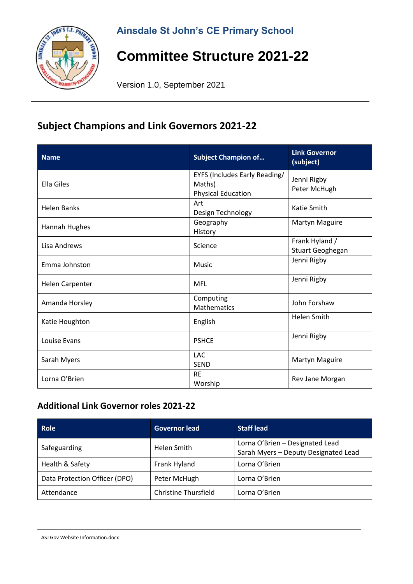

# **Committee Structure 2021-22**

Version 1.0, September 2021

#### **Subject Champions and Link Governors 2021-22**

| <b>Name</b>            | <b>Subject Champion of</b>                                                  | <b>Link Governor</b><br>(subject)  |
|------------------------|-----------------------------------------------------------------------------|------------------------------------|
| <b>Ella Giles</b>      | <b>EYFS (Includes Early Reading/</b><br>Maths)<br><b>Physical Education</b> | Jenni Rigby<br>Peter McHugh        |
| <b>Helen Banks</b>     | Art<br>Design Technology                                                    | Katie Smith                        |
| Hannah Hughes          | Geography<br>History                                                        | Martyn Maguire                     |
| Lisa Andrews           | Science                                                                     | Frank Hyland /<br>Stuart Geoghegan |
| Emma Johnston          | Music                                                                       | Jenni Rigby                        |
| <b>Helen Carpenter</b> | <b>MFL</b>                                                                  | Jenni Rigby                        |
| Amanda Horsley         | Computing<br><b>Mathematics</b>                                             | John Forshaw                       |
| Katie Houghton         | English                                                                     | <b>Helen Smith</b>                 |
| Louise Evans           | <b>PSHCE</b>                                                                | Jenni Rigby                        |
| Sarah Myers            | <b>LAC</b><br><b>SEND</b>                                                   | Martyn Maguire                     |
| Lorna O'Brien          | <b>RE</b><br>Worship                                                        | Rev Jane Morgan                    |

#### **Additional Link Governor roles 2021-22**

| Role                          | <b>Governor lead</b>        | <b>Staff lead</b>                                                       |
|-------------------------------|-----------------------------|-------------------------------------------------------------------------|
| Safeguarding                  | Helen Smith                 | Lorna O'Brien - Designated Lead<br>Sarah Myers - Deputy Designated Lead |
| Health & Safety               | Frank Hyland                | Lorna O'Brien                                                           |
| Data Protection Officer (DPO) | Peter McHugh                | Lorna O'Brien                                                           |
| Attendance                    | <b>Christine Thursfield</b> | Lorna O'Brien                                                           |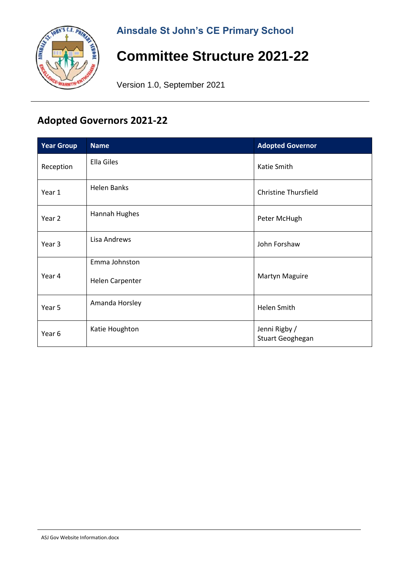### **Ainsdale St John's CE Primary School**



# **Committee Structure 2021-22**

Version 1.0, September 2021

## **Adopted Governors 2021-22**

| <b>Year Group</b> | <b>Name</b>            | <b>Adopted Governor</b>           |
|-------------------|------------------------|-----------------------------------|
| Reception         | Ella Giles             | Katie Smith                       |
| Year 1            | <b>Helen Banks</b>     | <b>Christine Thursfield</b>       |
| Year 2            | Hannah Hughes          | Peter McHugh                      |
| Year 3            | Lisa Andrews           | John Forshaw                      |
|                   | Emma Johnston          |                                   |
| Year 4            | <b>Helen Carpenter</b> | Martyn Maguire                    |
| Year 5            | Amanda Horsley         | <b>Helen Smith</b>                |
| Year 6            | Katie Houghton         | Jenni Rigby /<br>Stuart Geoghegan |